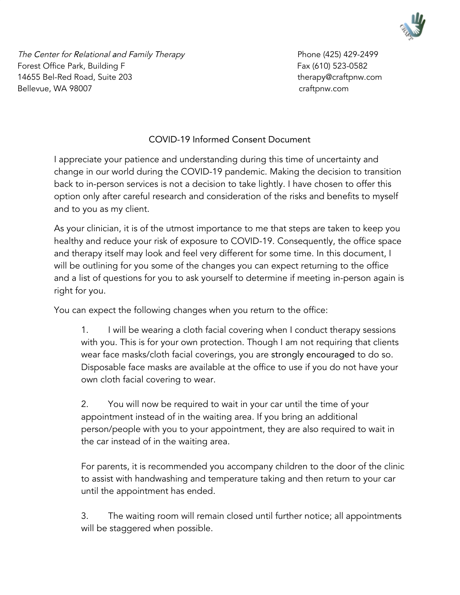

The Center for Relational and Family Therapy entitled and the Center 1425) 429-2499 Forest Office Park, Building F **Fax (610)** 523-0582 14655 Bel-Red Road, Suite 203 therapy@craftpnw.com Bellevue, WA 98007 craftpnw.com

## COVID-19 Informed Consent Document

I appreciate your patience and understanding during this time of uncertainty and change in our world during the COVID-19 pandemic. Making the decision to transition back to in-person services is not a decision to take lightly. I have chosen to offer this option only after careful research and consideration of the risks and benefits to myself and to you as my client.

As your clinician, it is of the utmost importance to me that steps are taken to keep you healthy and reduce your risk of exposure to COVID-19. Consequently, the office space and therapy itself may look and feel very different for some time. In this document, I will be outlining for you some of the changes you can expect returning to the office and a list of questions for you to ask yourself to determine if meeting in-person again is right for you.

You can expect the following changes when you return to the office:

1. I will be wearing a cloth facial covering when I conduct therapy sessions with you. This is for your own protection. Though I am not requiring that clients wear face masks/cloth facial coverings, you are strongly encouraged to do so. Disposable face masks are available at the office to use if you do not have your own cloth facial covering to wear.

2. You will now be required to wait in your car until the time of your appointment instead of in the waiting area. If you bring an additional person/people with you to your appointment, they are also required to wait in the car instead of in the waiting area.

For parents, it is recommended you accompany children to the door of the clinic to assist with handwashing and temperature taking and then return to your car until the appointment has ended.

3. The waiting room will remain closed until further notice; all appointments will be staggered when possible.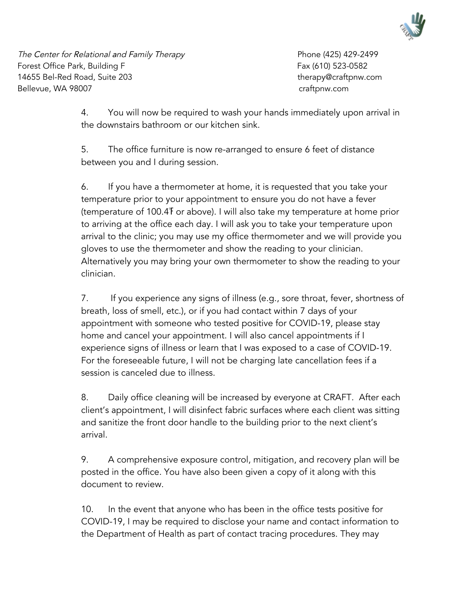

The Center for Relational and Family Therapy entitled and the Center for Relational and Family Therapy Forest Office Park, Building F **Fax (610)** 523-0582 14655 Bel-Red Road, Suite 203 therapy@craftpnw.com Bellevue, WA 98007 craftpnw.com

4. You will now be required to wash your hands immediately upon arrival in the downstairs bathroom or our kitchen sink.

5. The office furniture is now re-arranged to ensure 6 feet of distance between you and I during session.

6. If you have a thermometer at home, it is requested that you take your temperature prior to your appointment to ensure you do not have a fever (temperature of 100.4℉ or above). I will also take my temperature at home prior to arriving at the office each day. I will ask you to take your temperature upon arrival to the clinic; you may use my office thermometer and we will provide you gloves to use the thermometer and show the reading to your clinician. Alternatively you may bring your own thermometer to show the reading to your clinician.

7. If you experience any signs of illness (e.g., sore throat, fever, shortness of breath, loss of smell, etc.), or if you had contact within 7 days of your appointment with someone who tested positive for COVID-19, please stay home and cancel your appointment. I will also cancel appointments if I experience signs of illness or learn that I was exposed to a case of COVID-19. For the foreseeable future, I will not be charging late cancellation fees if a session is canceled due to illness.

8. Daily office cleaning will be increased by everyone at CRAFT. After each client's appointment, I will disinfect fabric surfaces where each client was sitting and sanitize the front door handle to the building prior to the next client's arrival.

9. A comprehensive exposure control, mitigation, and recovery plan will be posted in the office. You have also been given a copy of it along with this document to review.

10. In the event that anyone who has been in the office tests positive for COVID-19, I may be required to disclose your name and contact information to the Department of Health as part of contact tracing procedures. They may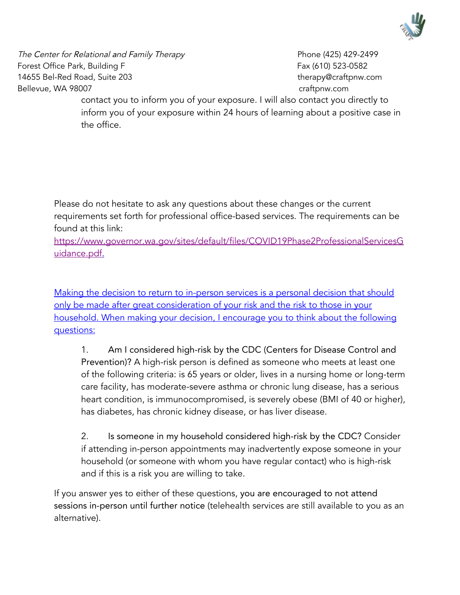

The Center for Relational and Family Therapy entitled and the Center 1425) 429-2499 Forest Office Park, Building F **Fax (610)** 523-0582 14655 Bel-Red Road, Suite 203 therapy@craftpnw.com Bellevue, WA 98007 craftpnw.com

contact you to inform you of your exposure. I will also contact you directly to inform you of your exposure within 24 hours of learning about a positive case in the office.

Please do not hesitate to ask any questions about these changes or the current requirements set forth for professional office-based services. The requirements can be found at this link:

[https://www.governor.wa.gov/sites/default/files/COVID19Phase2ProfessionalServicesG](https://www.governor.wa.gov/sites/default/files/COVID19Phase2ProfessionalServicesGuidance.pdf) [uidance.pdf.](https://www.governor.wa.gov/sites/default/files/COVID19Phase2ProfessionalServicesGuidance.pdf)

Making the decision to return to in-person services is a personal decision that should only be made after great consideration of your risk and the risk to those in your household. When making your decision, I encourage you to think about the following questions:

1. Am I considered high-risk by the CDC (Centers for Disease Control and Prevention)? A high-risk person is defined as someone who meets at least one of the following criteria: is 65 years or older, lives in a nursing home or long-term care facility, has moderate-severe asthma or chronic lung disease, has a serious heart condition, is immunocompromised, is severely obese (BMI of 40 or higher), has diabetes, has chronic kidney disease, or has liver disease.

2. Is someone in my household considered high-risk by the CDC? Consider if attending in-person appointments may inadvertently expose someone in your household (or someone with whom you have regular contact) who is high-risk and if this is a risk you are willing to take.

If you answer yes to either of these questions, you are encouraged to not attend sessions in-person until further notice (telehealth services are still available to you as an alternative).